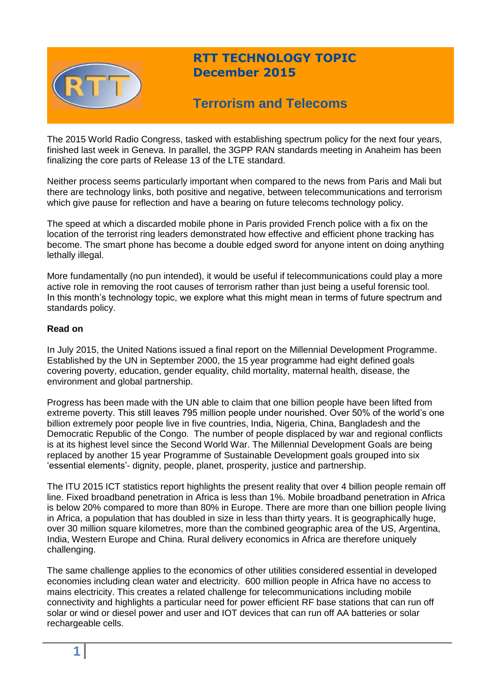

## **RTT TECHNOLOGY TOPIC December 2015**

# **Terrorism and Telecoms**

The 2015 World Radio Congress, tasked with establishing spectrum policy for the next four years, finished last week in Geneva. In parallel, the 3GPP RAN standards meeting in Anaheim has been finalizing the core parts of Release 13 of the LTE standard.

Neither process seems particularly important when compared to the news from Paris and Mali but there are technology links, both positive and negative, between telecommunications and terrorism which give pause for reflection and have a bearing on future telecoms technology policy.

The speed at which a discarded mobile phone in Paris provided French police with a fix on the location of the terrorist ring leaders demonstrated how effective and efficient phone tracking has become. The smart phone has become a double edged sword for anyone intent on doing anything lethally illegal.

More fundamentally (no pun intended), it would be useful if telecommunications could play a more active role in removing the root causes of terrorism rather than just being a useful forensic tool. In this month's technology topic, we explore what this might mean in terms of future spectrum and standards policy.

#### **Read on**

In July 2015, the United Nations issued a final report on the Millennial Development Programme. Established by the UN in September 2000, the 15 year programme had eight defined goals covering poverty, education, gender equality, child mortality, maternal health, disease, the environment and global partnership.

Progress has been made with the UN able to claim that one billion people have been lifted from extreme poverty. This still leaves 795 million people under nourished. Over 50% of the world's one billion extremely poor people live in five countries, India, Nigeria, China, Bangladesh and the Democratic Republic of the Congo. The number of people displaced by war and regional conflicts is at its highest level since the Second World War. The Millennial Development Goals are being replaced by another 15 year Programme of Sustainable Development goals grouped into six 'essential elements'- dignity, people, planet, prosperity, justice and partnership.

The ITU 2015 ICT statistics report highlights the present reality that over 4 billion people remain off line. Fixed broadband penetration in Africa is less than 1%. Mobile broadband penetration in Africa is below 20% compared to more than 80% in Europe. There are more than one billion people living in Africa, a population that has doubled in size in less than thirty years. It is geographically huge, over 30 million square kilometres, more than the combined geographic area of the US, Argentina, India, Western Europe and China. Rural delivery economics in Africa are therefore uniquely challenging.

The same challenge applies to the economics of other utilities considered essential in developed economies including clean water and electricity. 600 million people in Africa have no access to mains electricity. This creates a related challenge for telecommunications including mobile connectivity and highlights a particular need for power efficient RF base stations that can run off solar or wind or diesel power and user and IOT devices that can run off AA batteries or solar rechargeable cells.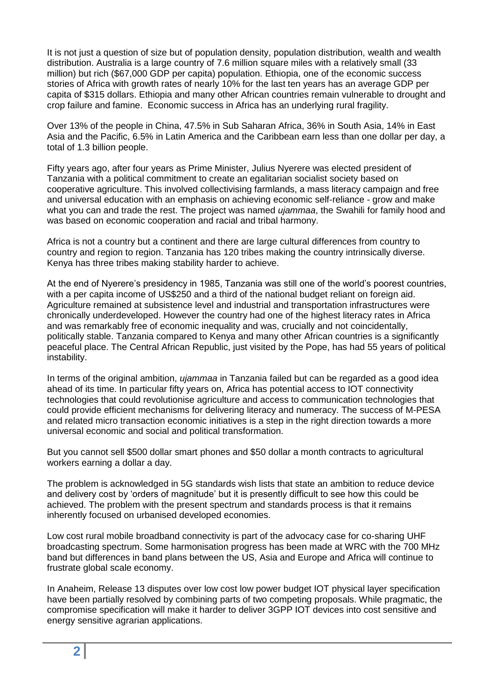It is not just a question of size but of population density, population distribution, wealth and wealth distribution. Australia is a large country of 7.6 million square miles with a relatively small (33 million) but rich (\$67,000 GDP per capita) population. Ethiopia, one of the economic success stories of Africa with growth rates of nearly 10% for the last ten years has an average GDP per capita of \$315 dollars. Ethiopia and many other African countries remain vulnerable to drought and crop failure and famine. Economic success in Africa has an underlying rural fragility.

Over 13% of the people in China, 47.5% in Sub Saharan Africa, 36% in South Asia, 14% in East Asia and the Pacific, 6.5% in Latin America and the Caribbean earn less than one dollar per day, a total of 1.3 billion people.

Fifty years ago, after four years as Prime Minister, Julius Nyerere was elected president of Tanzania with a political commitment to create an egalitarian socialist society based on cooperative agriculture. This involved collectivising farmlands, a mass literacy campaign and free and universal education with an emphasis on achieving economic self-reliance - grow and make what you can and trade the rest. The project was named *ujammaa*, the Swahili for family hood and was based on economic cooperation and racial and tribal harmony.

Africa is not a country but a continent and there are large cultural differences from country to country and region to region. Tanzania has 120 tribes making the country intrinsically diverse. Kenya has three tribes making stability harder to achieve.

At the end of Nyerere's presidency in 1985, Tanzania was still one of the world's poorest countries, with a per capita income of US\$250 and a third of the national budget reliant on foreign aid. Agriculture remained at subsistence level and industrial and transportation infrastructures were chronically underdeveloped. However the country had one of the highest literacy rates in Africa and was remarkably free of economic inequality and was, crucially and not coincidentally, politically stable. Tanzania compared to Kenya and many other African countries is a significantly peaceful place. The Central African Republic, just visited by the Pope, has had 55 years of political instability.

In terms of the original ambition, *ujammaa* in Tanzania failed but can be regarded as a good idea ahead of its time. In particular fifty years on, Africa has potential access to IOT connectivity technologies that could revolutionise agriculture and access to communication technologies that could provide efficient mechanisms for delivering literacy and numeracy. The success of M-PESA and related micro transaction economic initiatives is a step in the right direction towards a more universal economic and social and political transformation.

But you cannot sell \$500 dollar smart phones and \$50 dollar a month contracts to agricultural workers earning a dollar a day.

The problem is acknowledged in 5G standards wish lists that state an ambition to reduce device and delivery cost by 'orders of magnitude' but it is presently difficult to see how this could be achieved. The problem with the present spectrum and standards process is that it remains inherently focused on urbanised developed economies.

Low cost rural mobile broadband connectivity is part of the advocacy case for co-sharing UHF broadcasting spectrum. Some harmonisation progress has been made at WRC with the 700 MHz band but differences in band plans between the US, Asia and Europe and Africa will continue to frustrate global scale economy.

In Anaheim, Release 13 disputes over low cost low power budget IOT physical layer specification have been partially resolved by combining parts of two competing proposals. While pragmatic, the compromise specification will make it harder to deliver 3GPP IOT devices into cost sensitive and energy sensitive agrarian applications.